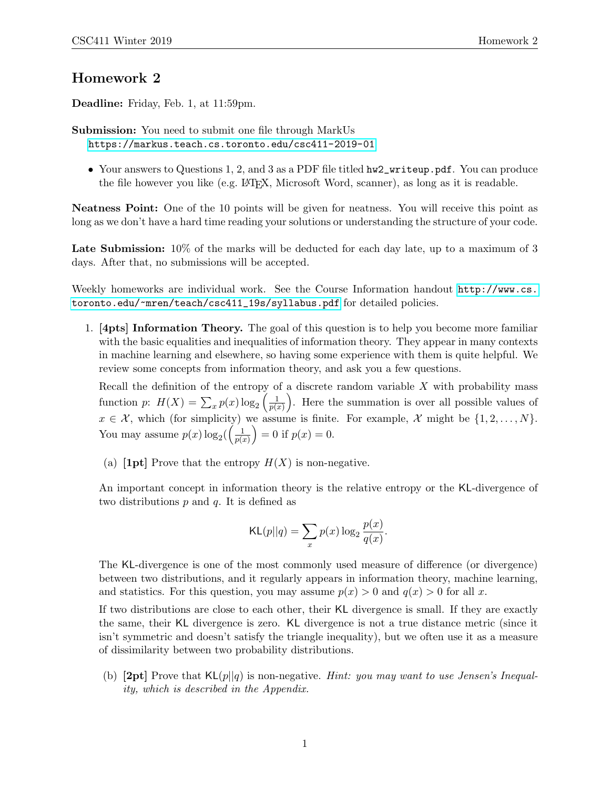## Homework 2

Deadline: Friday, Feb. 1, at 11:59pm.

Submission: You need to submit one file through MarkUs <https://markus.teach.cs.toronto.edu/csc411-2019-01>

• Your answers to Questions 1, 2, and 3 as a PDF file titled hw2\_writeup.pdf. You can produce the file however you like (e.g. LATEX, Microsoft Word, scanner), as long as it is readable.

Neatness Point: One of the 10 points will be given for neatness. You will receive this point as long as we don't have a hard time reading your solutions or understanding the structure of your code.

Late Submission:  $10\%$  of the marks will be deducted for each day late, up to a maximum of 3 days. After that, no submissions will be accepted.

Weekly homeworks are individual work. See the Course Information handout [http://www.cs.](http://www.cs.toronto.edu/~mren/teach/csc411_19s/syllabus.pdf) [toronto.edu/~mren/teach/csc411\\_19s/syllabus.pdf](http://www.cs.toronto.edu/~mren/teach/csc411_19s/syllabus.pdf) for detailed policies.

1. [4pts] Information Theory. The goal of this question is to help you become more familiar with the basic equalities and inequalities of information theory. They appear in many contexts in machine learning and elsewhere, so having some experience with them is quite helpful. We review some concepts from information theory, and ask you a few questions.

Recall the definition of the entropy of a discrete random variable  $X$  with probability mass function p:  $H(X) = \sum_{x} p(x) \log_2 \left( \frac{1}{p(x)} \right)$  $\frac{1}{p(x)}$ . Here the summation is over all possible values of  $x \in \mathcal{X}$ , which (for simplicity) we assume is finite. For example,  $\mathcal{X}$  might be  $\{1, 2, \ldots, N\}$ . You may assume  $p(x) \log_2\left(\frac{1}{p(x)}\right)$  $\frac{1}{p(x)}$  = 0 if  $p(x) = 0$ .

(a) [1pt] Prove that the entropy  $H(X)$  is non-negative.

An important concept in information theory is the relative entropy or the KL-divergence of two distributions  $p$  and  $q$ . It is defined as

$$
KL(p||q) = \sum_{x} p(x) \log_2 \frac{p(x)}{q(x)}.
$$

The KL-divergence is one of the most commonly used measure of difference (or divergence) between two distributions, and it regularly appears in information theory, machine learning, and statistics. For this question, you may assume  $p(x) > 0$  and  $q(x) > 0$  for all x.

If two distributions are close to each other, their KL divergence is small. If they are exactly the same, their KL divergence is zero. KL divergence is not a true distance metric (since it isn't symmetric and doesn't satisfy the triangle inequality), but we often use it as a measure of dissimilarity between two probability distributions.

(b)  $[2pt]$  Prove that  $KL(p||q)$  is non-negative. Hint: you may want to use Jensen's Inequality, which is described in the Appendix.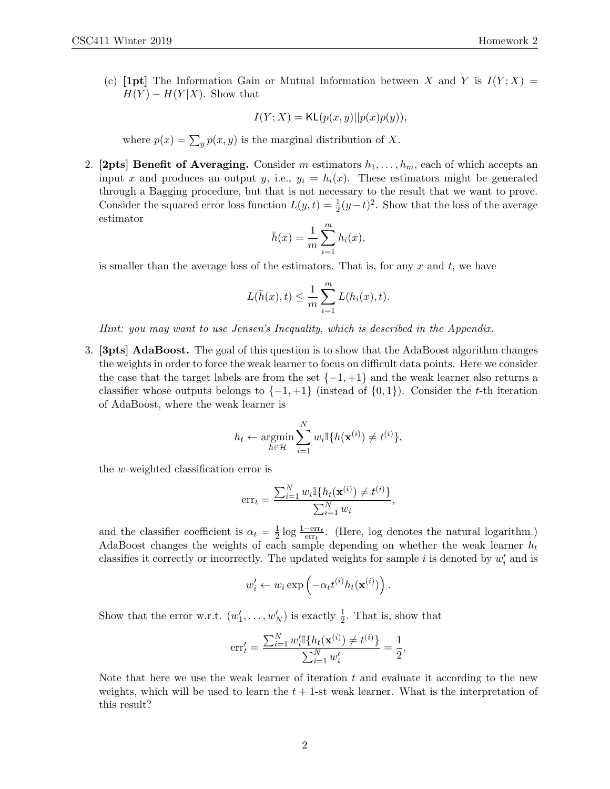(c) [1pt] The Information Gain or Mutual Information between X and Y is  $I(Y; X) =$  $H(Y) - H(Y|X)$ . Show that

$$
I(Y;X) = \mathsf{KL}(p(x,y)||p(x)p(y)),
$$

where  $p(x) = \sum_{y} p(x, y)$  is the marginal distribution of X.

2. [2pts] Benefit of Averaging. Consider m estimators  $h_1, \ldots, h_m$ , each of which accepts an input x and produces an output y, i.e.,  $y_i = h_i(x)$ . These estimators might be generated through a Bagging procedure, but that is not necessary to the result that we want to prove. Consider the squared error loss function  $L(y,t) = \frac{1}{2}(y-t)^2$ . Show that the loss of the average estimator

$$
\bar{h}(x) = \frac{1}{m} \sum_{i=1}^{m} h_i(x),
$$

is smaller than the average loss of the estimators. That is, for any  $x$  and  $t$ , we have

$$
L(\bar{h}(x),t) \leq \frac{1}{m} \sum_{i=1}^{m} L(h_i(x),t).
$$

Hint: you may want to use Jensen's Inequality, which is described in the Appendix.

3. [3pts] AdaBoost. The goal of this question is to show that the AdaBoost algorithm changes the weights in order to force the weak learner to focus on difficult data points. Here we consider the case that the target labels are from the set  $\{-1, +1\}$  and the weak learner also returns a classifier whose outputs belongs to  $\{-1, +1\}$  (instead of  $\{0, 1\}$ ). Consider the t-th iteration of AdaBoost, where the weak learner is

$$
h_t \leftarrow \operatorname*{argmin}_{h \in \mathcal{H}} \sum_{i=1}^{N} w_i \mathbb{I}\{h(\mathbf{x}^{(i)}) \neq t^{(i)}\},
$$

the w-weighted classification error is

$$
err_t = \frac{\sum_{i=1}^{N} w_i \mathbb{I}\{h_t(\mathbf{x}^{(i)}) \neq t^{(i)}\}}{\sum_{i=1}^{N} w_i}
$$

,

and the classifier coefficient is  $\alpha_t = \frac{1}{2}$  $\frac{1}{2} \log \frac{1-\text{err}_t}{\text{err}_t}$ . (Here, log denotes the natural logarithm.) AdaBoost changes the weights of each sample depending on whether the weak learner  $h_t$ classifies it correctly or incorrectly. The updated weights for sample i is denoted by  $w_i'$  and is

$$
w'_{i} \leftarrow w_{i} \exp\left(-\alpha_{t} t^{(i)} h_{t}(\mathbf{x}^{(i)})\right).
$$

Show that the error w.r.t.  $(w'_1, \ldots, w'_N)$  is exactly  $\frac{1}{2}$ . That is, show that

$$
err'_{t} = \frac{\sum_{i=1}^{N} w'_{i} \mathbb{I}\{h_{t}(\mathbf{x}^{(i)}) \neq t^{(i)}\}}{\sum_{i=1}^{N} w'_{i}} = \frac{1}{2}.
$$

Note that here we use the weak learner of iteration  $t$  and evaluate it according to the new weights, which will be used to learn the  $t + 1$ -st weak learner. What is the interpretation of this result?